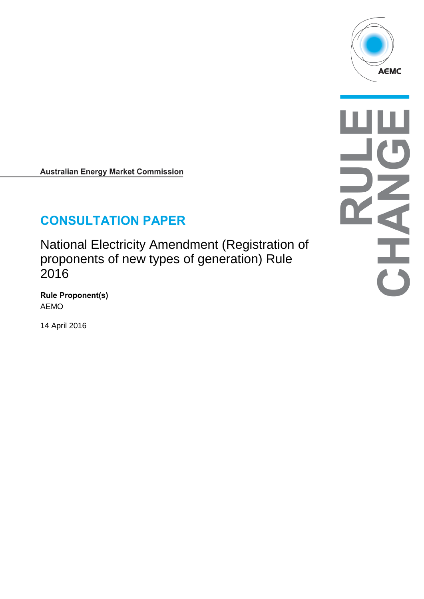

**Australian Energy Market Commission** 

# **CONSULTATION PAPER**

National Electricity Amendment (Registration of proponents of new types of generation) Rule 2016

**Rule Proponent(s)** AEMO

14 April 2016

 $\frac{1}{\sqrt{2}}$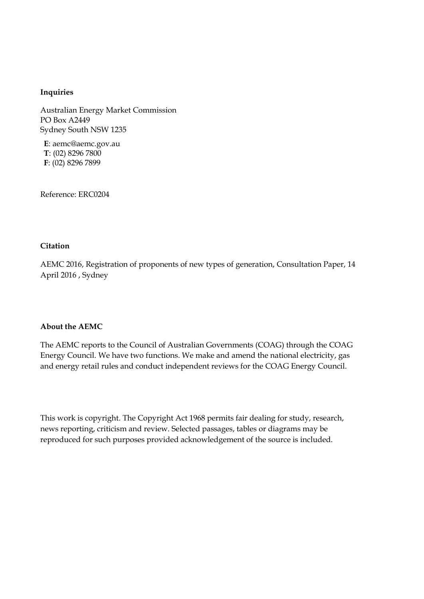#### **Inquiries**

Australian Energy Market Commission PO Box A2449 Sydney South NSW 1235

**E**: aemc@aemc.gov.au **T**: (02) 8296 7800 **F**: (02) 8296 7899

Reference: ERC0204

#### **Citation**

AEMC 2016, Registration of proponents of new types of generation, Consultation Paper, 14 April 2016 , Sydney

#### **About the AEMC**

The AEMC reports to the Council of Australian Governments (COAG) through the COAG Energy Council. We have two functions. We make and amend the national electricity, gas and energy retail rules and conduct independent reviews for the COAG Energy Council.

This work is copyright. The Copyright Act 1968 permits fair dealing for study, research, news reporting, criticism and review. Selected passages, tables or diagrams may be reproduced for such purposes provided acknowledgement of the source is included.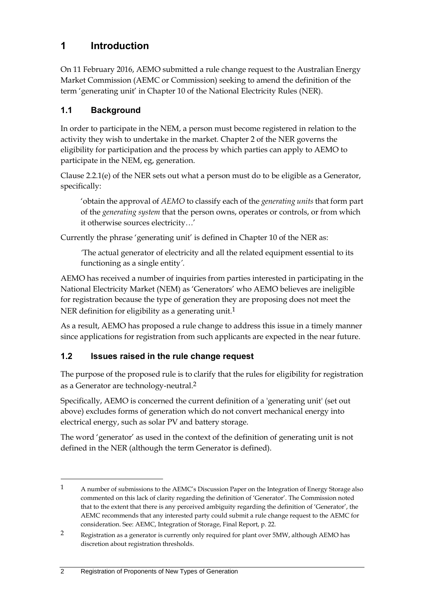## **1 Introduction**

On 11 February 2016, AEMO submitted a rule change request to the Australian Energy Market Commission (AEMC or Commission) seeking to amend the definition of the term 'generating unit' in Chapter 10 of the National Electricity Rules (NER).

## **1.1 Background**

In order to participate in the NEM, a person must become registered in relation to the activity they wish to undertake in the market. Chapter 2 of the NER governs the eligibility for participation and the process by which parties can apply to AEMO to participate in the NEM, eg, generation.

Clause 2.2.1(e) of the NER sets out what a person must do to be eligible as a Generator, specifically:

'obtain the approval of *AEMO* to classify each of the *generating units* that form part of the *generating system* that the person owns, operates or controls, or from which it otherwise sources electricity*…*'

Currently the phrase 'generating unit' is defined in Chapter 10 of the NER as:

*'*The actual generator of electricity and all the related equipment essential to its functioning as a single entity*'.*

AEMO has received a number of inquiries from parties interested in participating in the National Electricity Market (NEM) as 'Generators' who AEMO believes are ineligible for registration because the type of generation they are proposing does not meet the NER definition for eligibility as a generating unit.<sup>1</sup>

As a result, AEMO has proposed a rule change to address this issue in a timely manner since applications for registration from such applicants are expected in the near future.

## **1.2 Issues raised in the rule change request**

The purpose of the proposed rule is to clarify that the rules for eligibility for registration as a Generator are technology-neutral.2

Specifically, AEMO is concerned the current definition of a 'generating unit' (set out above) excludes forms of generation which do not convert mechanical energy into electrical energy, such as solar PV and battery storage.

The word 'generator' as used in the context of the definition of generating unit is not defined in the NER (although the term Generator is defined).

<u>.</u>

<sup>1</sup> A number of submissions to the AEMC's Discussion Paper on the Integration of Energy Storage also commented on this lack of clarity regarding the definition of 'Generator'. The Commission noted that to the extent that there is any perceived ambiguity regarding the definition of 'Generator', the AEMC recommends that any interested party could submit a rule change request to the AEMC for consideration. See: AEMC, Integration of Storage, Final Report, p. 22.

<sup>2</sup> Registration as a generator is currently only required for plant over 5MW, although AEMO has discretion about registration thresholds.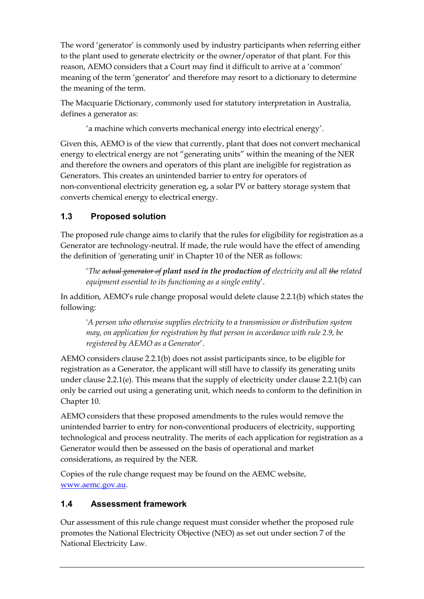The word 'generator' is commonly used by industry participants when referring either to the plant used to generate electricity or the owner/operator of that plant. For this reason, AEMO considers that a Court may find it difficult to arrive at a 'common' meaning of the term 'generator' and therefore may resort to a dictionary to determine the meaning of the term.

The Macquarie Dictionary, commonly used for statutory interpretation in Australia, defines a generator as:

'a machine which converts mechanical energy into electrical energy'.

Given this, AEMO is of the view that currently, plant that does not convert mechanical energy to electrical energy are not "generating units" within the meaning of the NER and therefore the owners and operators of this plant are ineligible for registration as Generators. This creates an unintended barrier to entry for operators of non-conventional electricity generation eg, a solar PV or battery storage system that converts chemical energy to electrical energy.

## **1.3 Proposed solution**

The proposed rule change aims to clarify that the rules for eligibility for registration as a Generator are technology-neutral. If made, the rule would have the effect of amending the definition of 'generating unit' in Chapter 10 of the NER as follows:

'*The actual generator of plant used in the production of electricity and all the related equipment essential to its functioning as a single entity*'.

In addition, AEMO's rule change proposal would delete clause 2.2.1(b) which states the following:

'*A person who otherwise supplies electricity to a transmission or distribution system may, on application for registration by that person in accordance with rule 2.9, be registered by AEMO as a Generator*'.

AEMO considers clause 2.2.1(b) does not assist participants since, to be eligible for registration as a Generator, the applicant will still have to classify its generating units under clause 2.2.1(e). This means that the supply of electricity under clause 2.2.1(b) can only be carried out using a generating unit, which needs to conform to the definition in Chapter 10.

AEMO considers that these proposed amendments to the rules would remove the unintended barrier to entry for non-conventional producers of electricity, supporting technological and process neutrality. The merits of each application for registration as a Generator would then be assessed on the basis of operational and market considerations, as required by the NER.

Copies of the rule change request may be found on the AEMC website, [www.aemc.gov.au.](http://www.aemc.gov.au/)

#### **1.4 Assessment framework**

Our assessment of this rule change request must consider whether the proposed rule promotes the National Electricity Objective (NEO) as set out under section 7 of the National Electricity Law.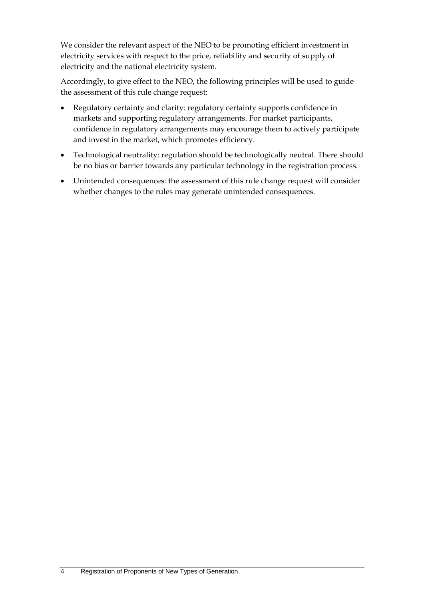We consider the relevant aspect of the NEO to be promoting efficient investment in electricity services with respect to the price, reliability and security of supply of electricity and the national electricity system.

Accordingly, to give effect to the NEO, the following principles will be used to guide the assessment of this rule change request:

- Regulatory certainty and clarity: regulatory certainty supports confidence in markets and supporting regulatory arrangements. For market participants, confidence in regulatory arrangements may encourage them to actively participate and invest in the market, which promotes efficiency.
- Technological neutrality: regulation should be technologically neutral. There should be no bias or barrier towards any particular technology in the registration process.
- Unintended consequences: the assessment of this rule change request will consider whether changes to the rules may generate unintended consequences.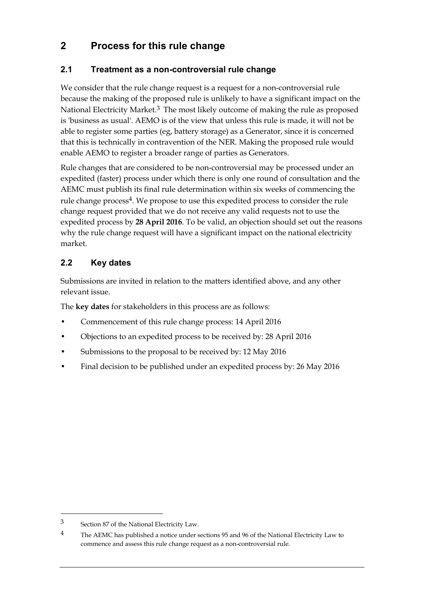## **2 Process for this rule change**

### **2.1 Treatment as a non-controversial rule change**

We consider that the rule change request is a request for a non-controversial rule because the making of the proposed rule is unlikely to have a significant impact on the National Electricity Market.<sup>3</sup> The most likely outcome of making the rule as proposed is 'business as usual'. AEMO is of the view that unless this rule is made, it will not be able to register some parties (eg, battery storage) as a Generator, since it is concerned that this is technically in contravention of the NER. Making the proposed rule would enable AEMO to register a broader range of parties as Generators.

Rule changes that are considered to be non-controversial may be processed under an expedited (faster) process under which there is only one round of consultation and the AEMC must publish its final rule determination within six weeks of commencing the rule change process<sup>4</sup>. We propose to use this expedited process to consider the rule change request provided that we do not receive any valid requests not to use the expedited process by **28 April 2016**. To be valid, an objection should set out the reasons why the rule change request will have a significant impact on the national electricity market.

## **2.2 Key dates**

Submissions are invited in relation to the matters identified above, and any other relevant issue.

The **key dates** for stakeholders in this process are as follows:

- Commencement of this rule change process: 14 April 2016
- Objections to an expedited process to be received by: 28 April 2016
- Submissions to the proposal to be received by: 12 May 2016
- Final decision to be published under an expedited process by: 26 May 2016

<u>.</u>

<sup>3</sup> Section 87 of the National Electricity Law.

<sup>4</sup> The AEMC has published a notice under sections 95 and 96 of the National Electricity Law to commence and assess this rule change request as a non-controversial rule.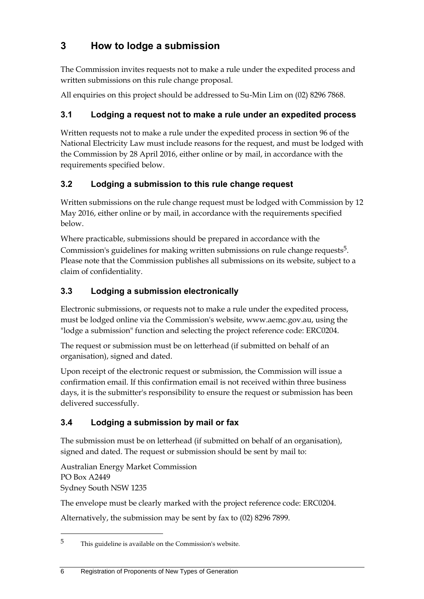## **3 How to lodge a submission**

The Commission invites requests not to make a rule under the expedited process and written submissions on this rule change proposal.

All enquiries on this project should be addressed to Su-Min Lim on (02) 8296 7868.

## **3.1 Lodging a request not to make a rule under an expedited process**

Written requests not to make a rule under the expedited process in section 96 of the National Electricity Law must include reasons for the request, and must be lodged with the Commission by 28 April 2016, either online or by mail, in accordance with the requirements specified below.

## **3.2 Lodging a submission to this rule change request**

Written submissions on the rule change request must be lodged with Commission by 12 May 2016, either online or by mail, in accordance with the requirements specified below.

Where practicable, submissions should be prepared in accordance with the Commission's guidelines for making written submissions on rule change requests<sup>5</sup>. Please note that the Commission publishes all submissions on its website, subject to a claim of confidentiality.

## **3.3 Lodging a submission electronically**

Electronic submissions, or requests not to make a rule under the expedited process, must be lodged online via the Commission's website, www.aemc.gov.au, using the "lodge a submission" function and selecting the project reference code: ERC0204.

The request or submission must be on letterhead (if submitted on behalf of an organisation), signed and dated.

Upon receipt of the electronic request or submission, the Commission will issue a confirmation email. If this confirmation email is not received within three business days, it is the submitter's responsibility to ensure the request or submission has been delivered successfully.

## **3.4 Lodging a submission by mail or fax**

The submission must be on letterhead (if submitted on behalf of an organisation), signed and dated. The request or submission should be sent by mail to:

Australian Energy Market Commission PO Box A2449 Sydney South NSW 1235

1

The envelope must be clearly marked with the project reference code: ERC0204.

Alternatively, the submission may be sent by fax to (02) 8296 7899.

<sup>5</sup> This guideline is available on the Commission's website.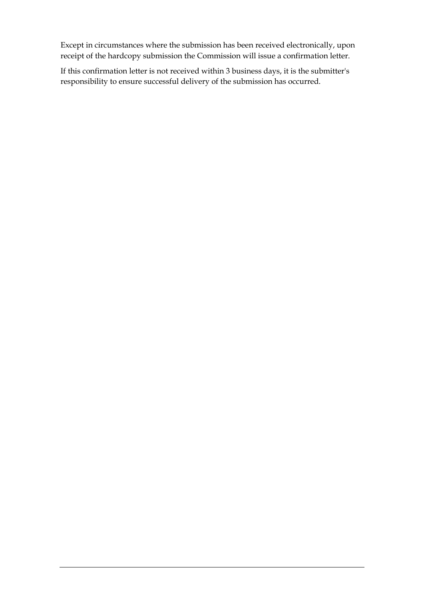Except in circumstances where the submission has been received electronically, upon receipt of the hardcopy submission the Commission will issue a confirmation letter.

If this confirmation letter is not received within 3 business days, it is the submitter's responsibility to ensure successful delivery of the submission has occurred.